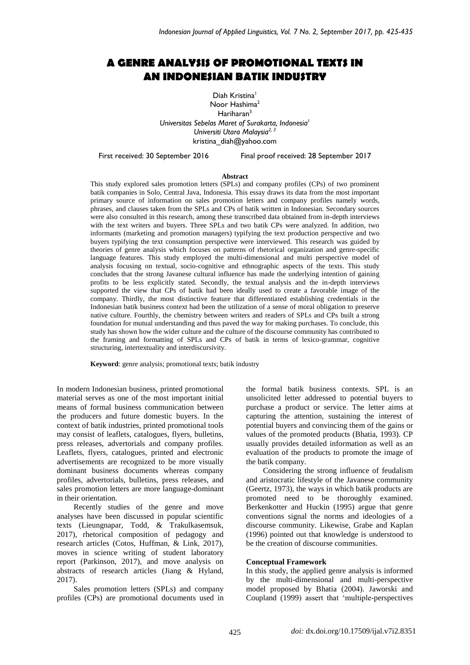# **A GENRE ANALYSIS OF PROMOTIONAL TEXTS IN AN INDONESIAN BATIK INDUSTRY**

Diah Kristina<sup>1</sup> Noor Hashima<sup>2</sup> Hariharan<sup>3</sup> *Universitas Sebelas Maret of Surakarta, Indonesia*<sup>1</sup> *Universiti Utara Malaysia2, 3* [kristina\\_diah@yahoo.com](mailto:kristina_diah@yahoo.com)

First received: 30 September 2016 Final proof received: 28 September 2017

#### **Abstract**

This study explored sales promotion letters (SPLs) and company profiles (CPs) of two prominent batik companies in Solo, Central Java, Indonesia. This essay draws its data from the most important primary source of information on sales promotion letters and company profiles namely words, phrases, and clauses taken from the SPLs and CPs of batik written in Indonesian. Secondary sources were also consulted in this research, among these transcribed data obtained from in-depth interviews with the text writers and buyers. Three SPLs and two batik CPs were analyzed. In addition, two informants (marketing and promotion managers) typifying the text production perspective and two buyers typifying the text consumption perspective were interviewed. This research was guided by theories of genre analysis which focuses on patterns of rhetorical organization and genre-specific language features. This study employed the multi-dimensional and multi perspective model of analysis focusing on textual, socio-cognitive and ethnographic aspects of the texts. This study concludes that the strong Javanese cultural influence has made the underlying intention of gaining profits to be less explicitly stated. Secondly, the textual analysis and the in-depth interviews supported the view that CPs of batik had been ideally used to create a favorable image of the company. Thirdly, the most distinctive feature that differentiated establishing credentials in the Indonesian batik business context had been the utilization of a sense of moral obligation to preserve native culture. Fourthly, the chemistry between writers and readers of SPLs and CPs built a strong foundation for mutual understanding and thus paved the way for making purchases. To conclude, this study has shown how the wider culture and the culture of the discourse community has contributed to the framing and formatting of SPLs and CPs of batik in terms of lexico-grammar, cognitive structuring, intertextuality and interdiscursivity.

**Keyword**: genre analysis; promotional texts; batik industry

In modern Indonesian business, printed promotional material serves as one of the most important initial means of formal business communication between the producers and future domestic buyers. In the context of batik industries, printed promotional tools may consist of leaflets, catalogues, flyers, bulletins, press releases, advertorials and company profiles. Leaflets, flyers, catalogues, printed and electronic advertisements are recognized to be more visually dominant business documents whereas company profiles, advertorials, bulletins, press releases, and sales promotion letters are more language-dominant in their orientation.

Recently studies of the genre and move analyses have been discussed in popular scientific texts (Lieungnapar, Todd, & Trakulkasemsuk, 2017), rhetorical composition of pedagogy and research articles (Cotos, Huffman, & Link, 2017), moves in science writing of student laboratory report (Parkinson, 2017), and move analysis on abstracts of research articles (Jiang & Hyland, 2017).

Sales promotion letters (SPLs) and company profiles (CPs) are promotional documents used in the formal batik business contexts. SPL is an unsolicited letter addressed to potential buyers to purchase a product or service. The letter aims at capturing the attention, sustaining the interest of potential buyers and convincing them of the gains or values of the promoted products (Bhatia, 1993). CP usually provides detailed information as well as an evaluation of the products to promote the image of the batik company.

Considering the strong influence of feudalism and aristocratic lifestyle of the Javanese community (Geertz, 1973), the ways in which batik products are promoted need to be thoroughly examined. Berkenkotter and Huckin (1995) argue that genre conventions signal the norms and ideologies of a discourse community. Likewise, Grabe and Kaplan (1996) pointed out that knowledge is understood to be the creation of discourse communities.

# **Conceptual Framework**

In this study, the applied genre analysis is informed by the multi-dimensional and multi-perspective model proposed by Bhatia (2004). Jaworski and Coupland (1999) assert that 'multiple-perspectives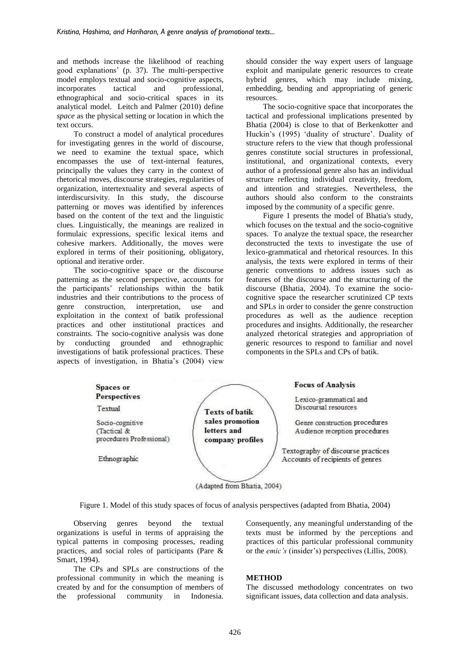and methods increase the likelihood of reaching good explanations' (p. 37). The multi-perspective model employs textual and socio-cognitive aspects, incorporates tactical and professional, ethnographical and socio-critical spaces in its analytical model. Leitch and Palmer (2010) define *space* as the physical setting or location in which the text occurs.

To construct a model of analytical procedures for investigating genres in the world of discourse, we need to examine the textual space, which encompasses the use of text-internal features, principally the values they carry in the context of rhetorical moves, discourse strategies, regularities of organization, intertextuality and several aspects of interdiscursivity. In this study, the discourse patterning or moves was identified by inferences based on the content of the text and the linguistic clues. Linguistically, the meanings are realized in formulaic expressions, specific lexical items and cohesive markers. Additionally, the moves were explored in terms of their positioning, obligatory, optional and iterative order.

The socio-cognitive space or the discourse patterning as the second perspective, accounts for the participants' relationships within the batik industries and their contributions to the process of<br>genre construction, interpretation, use and interpretation, use and exploitation in the context of batik professional practices and other institutional practices and constraints. The socio-cognitive analysis was done by conducting grounded and ethnographic investigations of batik professional practices. These aspects of investigation, in Bhatia's (2004) view should consider the way expert users of language exploit and manipulate generic resources to create hybrid genres, which may include mixing, embedding, bending and appropriating of generic resources.

The socio-cognitive space that incorporates the tactical and professional implications presented by Bhatia (2004) is close to that of Berkenkotter and Huckin's (1995) 'duality of structure'. Duality of structure refers to the view that though professional genres constitute social structures in professional, institutional, and organizational contexts, every author of a professional genre also has an individual structure reflecting individual creativity, freedom, and intention and strategies. Nevertheless, the authors should also conform to the constraints imposed by the community of a specific genre.

Figure 1 presents the model of Bhatia's study, which focuses on the textual and the socio-cognitive spaces. To analyze the textual space, the researcher deconstructed the texts to investigate the use of lexico-grammatical and rhetorical resources. In this analysis, the texts were explored in terms of their generic conventions to address issues such as features of the discourse and the structuring of the discourse (Bhatia, 2004). To examine the sociocognitive space the researcher scrutinized CP texts and SPLs in order to consider the genre construction procedures as well as the audience reception procedures and insights. Additionally, the researcher analyzed rhetorical strategies and appropriation of generic resources to respond to familiar and novel components in the SPLs and CPs of batik.



(Adapted from Bhatia, 2004)

Figure 1. Model of this study spaces of focus of analysis perspectives (adapted from Bhatia, 2004)

Observing genres beyond the textual organizations is useful in terms of appraising the typical patterns in composing processes, reading practices, and social roles of participants (Pare & Smart, 1994).

The CPs and SPLs are constructions of the professional community in which the meaning is created by and for the consumption of members of the professional community in Indonesia. Consequently, any meaningful understanding of the texts must be informed by the perceptions and practices of this particular professional community or the *emic's* (insider's) perspectives (Lillis, 2008).

## **METHOD**

The discussed methodology concentrates on two significant issues, data collection and data analysis.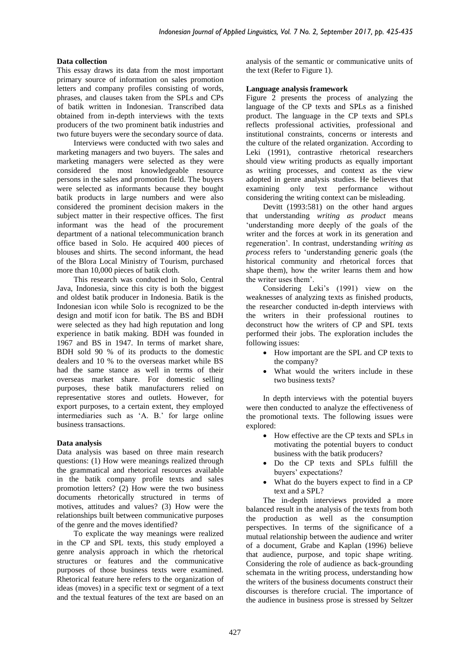# **Data collection**

This essay draws its data from the most important primary source of information on sales promotion letters and company profiles consisting of words, phrases, and clauses taken from the SPLs and CPs of batik written in Indonesian. Transcribed data obtained from in-depth interviews with the texts producers of the two prominent batik industries and two future buyers were the secondary source of data.

Interviews were conducted with two sales and marketing managers and two buyers. The sales and marketing managers were selected as they were considered the most knowledgeable resource persons in the sales and promotion field. The buyers were selected as informants because they bought batik products in large numbers and were also considered the prominent decision makers in the subject matter in their respective offices. The first informant was the head of the procurement department of a national telecommunication branch office based in Solo. He acquired 400 pieces of blouses and shirts. The second informant, the head of the Blora Local Ministry of Tourism, purchased more than 10,000 pieces of batik cloth.

This research was conducted in Solo, Central Java, Indonesia, since this city is both the biggest and oldest batik producer in Indonesia. Batik is the Indonesian icon while Solo is recognized to be the design and motif icon for batik. The BS and BDH were selected as they had high reputation and long experience in batik making. BDH was founded in 1967 and BS in 1947. In terms of market share, BDH sold 90 % of its products to the domestic dealers and 10 % to the overseas market while BS had the same stance as well in terms of their overseas market share. For domestic selling purposes, these batik manufacturers relied on representative stores and outlets. However, for export purposes, to a certain extent, they employed intermediaries such as 'A. B.' for large online business transactions.

## **Data analysis**

Data analysis was based on three main research questions: (1) How were meanings realized through the grammatical and rhetorical resources available in the batik company profile texts and sales promotion letters? (2) How were the two business documents rhetorically structured in terms of motives, attitudes and values? (3) How were the relationships built between communicative purposes of the genre and the moves identified?

To explicate the way meanings were realized in the CP and SPL texts, this study employed a genre analysis approach in which the rhetorical structures or features and the communicative purposes of those business texts were examined. Rhetorical feature here refers to the organization of ideas (moves) in a specific text or segment of a text and the textual features of the text are based on an analysis of the semantic or communicative units of the text (Refer to Figure 1).

## **Language analysis framework**

Figure 2 presents the process of analyzing the language of the CP texts and SPLs as a finished product. The language in the CP texts and SPLs reflects professional activities, professional and institutional constraints, concerns or interests and the culture of the related organization. According to Leki (1991), contrastive rhetorical researchers should view writing products as equally important as writing processes, and context as the view adopted in genre analysis studies. He believes that examining only text performance without considering the writing context can be misleading.

Devitt (1993:581) on the other hand argues that understanding *writing as product* means 'understanding more deeply of the goals of the writer and the forces at work in its generation and regeneration'. In contrast, understanding *writing as process* refers to 'understanding generic goals (the historical community and rhetorical forces that shape them), how the writer learns them and how the writer uses them'.

Considering Leki's (1991) view on the weaknesses of analyzing texts as finished products, the researcher conducted in-depth interviews with the writers in their professional routines to deconstruct how the writers of CP and SPL texts performed their jobs. The exploration includes the following issues:

- How important are the SPL and CP texts to the company?
- What would the writers include in these two business texts?

In depth interviews with the potential buyers were then conducted to analyze the effectiveness of the promotional texts. The following issues were explored:

- How effective are the CP texts and SPLs in motivating the potential buyers to conduct business with the batik producers?
- Do the CP texts and SPLs fulfill the buyers' expectations?
- What do the buyers expect to find in a CP text and a SPL?

The in-depth interviews provided a more balanced result in the analysis of the texts from both the production as well as the consumption perspectives. In terms of the significance of a mutual relationship between the audience and writer of a document, Grabe and Kaplan (1996) believe that audience, purpose, and topic shape writing. Considering the role of audience as back-grounding schemata in the writing process, understanding how the writers of the business documents construct their discourses is therefore crucial. The importance of the audience in business prose is stressed by Seltzer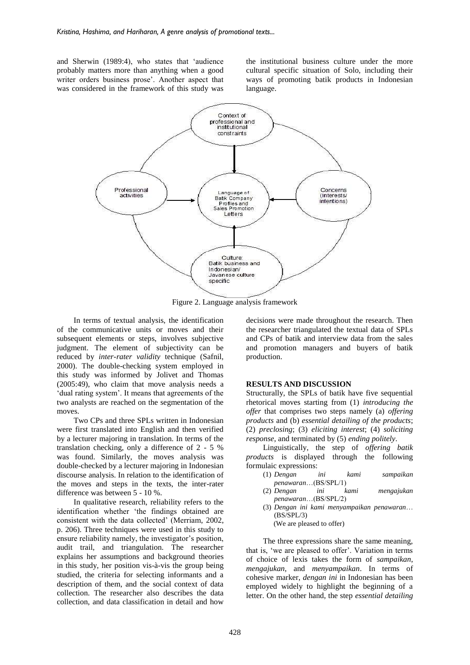and Sherwin (1989:4), who states that 'audience probably matters more than anything when a good writer orders business prose'. Another aspect that was considered in the framework of this study was

the institutional business culture under the more cultural specific situation of Solo, including their ways of promoting batik products in Indonesian language.



Figure 2. Language analysis framework

In terms of textual analysis, the identification of the communicative units or moves and their subsequent elements or steps, involves subjective judgment. The element of subjectivity can be reduced by *inter-rater validity* technique (Safnil, 2000). The double-checking system employed in this study was informed by Jolivet and Thomas (2005:49), who claim that move analysis needs a 'dual rating system'. It means that agreements of the two analysts are reached on the segmentation of the moves.

Two CPs and three SPLs written in Indonesian were first translated into English and then verified by a lecturer majoring in translation. In terms of the translation checking, only a difference of 2 - 5 % was found. Similarly, the moves analysis was double-checked by a lecturer majoring in Indonesian discourse analysis. In relation to the identification of the moves and steps in the texts, the inter-rater difference was between 5 - 10 %.

In qualitative research, reliability refers to the identification whether 'the findings obtained are consistent with the data collected' (Merriam, 2002, p. 206). Three techniques were used in this study to ensure reliability namely, the investigator's position, audit trail, and triangulation. The researcher explains her assumptions and background theories in this study, her position vis-à-vis the group being studied, the criteria for selecting informants and a description of them, and the social context of data collection. The researcher also describes the data collection, and data classification in detail and how

decisions were made throughout the research. Then the researcher triangulated the textual data of SPLs and CPs of batik and interview data from the sales and promotion managers and buyers of batik production.

#### **RESULTS AND DISCUSSION**

Structurally, the SPLs of batik have five sequential rhetorical moves starting from (1) *introducing the offer* that comprises two steps namely (a) *offering products* and (b) *essential detailing of the products*; (2) *preclosing*; (3) *eliciting interest*; (4) *soliciting response*, and terminated by (5) *ending politely*.

Linguistically, the step of *offering batik products* is displayed through the following formulaic expressions:

- (1) *Dengan ini kami sampaikan penawaran*…(BS/SPL/1)
- (2) *Dengan ini kami mengajukan penawaran*…(BS/SPL/2)
- (3) *Dengan ini kami menyampaikan penawaran*… (BS/SPL/3) (We are pleased to offer)

The three expressions share the same meaning, that is, 'we are pleased to offer'. Variation in terms of choice of lexis takes the form of *sampaikan*, *mengajukan*, and *menyampaikan*. In terms of cohesive marker, *dengan ini* in Indonesian has been employed widely to highlight the beginning of a letter. On the other hand, the step *essential detailing*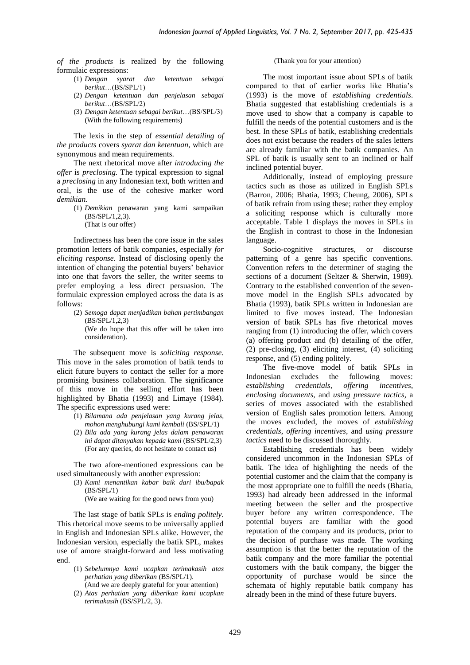*of the products* is realized by the following formulaic expressions:

- (1) *Dengan syarat dan ketentuan sebagai berikut*…(BS/SPL/1)
- (2) *Dengan ketentuan dan penjelasan sebagai berikut*…(BS/SPL/2)
- (3) *Dengan ketentuan sebagai berikut*…(BS/SPL/3) (With the following requirements)

The lexis in the step of *essential detailing of the products* covers *syarat dan ketentuan*, which are synonymous and mean requirements.

The next rhetorical move after *introducing the offer* is *preclosing.* The typical expression to signal a *preclosing* in any Indonesian text, both written and oral, is the use of the cohesive marker word *demikian*.

- (1) *Demikian* penawaran yang kami sampaikan (BS/SPL/1,2,3).
	- (That is our offer)

Indirectness has been the core issue in the sales promotion letters of batik companies, especially *for eliciting response*. Instead of disclosing openly the intention of changing the potential buyers' behavior into one that favors the seller, the writer seems to prefer employing a less direct persuasion. The formulaic expression employed across the data is as follows:

- (2) *Semoga dapat menjadikan bahan pertimbangan* (BS/SPL/1,2,3) (We do hope that this offer will be taken into
	- consideration).

The subsequent move is *soliciting response*. This move in the sales promotion of batik tends to elicit future buyers to contact the seller for a more promising business collaboration. The significance of this move in the selling effort has been highlighted by Bhatia (1993) and Limaye (1984). The specific expressions used were:

- (1) *Bilamana ada penjelasan yang kurang jelas, mohon menghubungi kami kembali* (BS/SPL/1)
- (2) *Bila ada yang kurang jelas dalam penawaran ini dapat ditanyakan kepada kami* (BS/SPL/2,3) (For any queries, do not hesitate to contact us)

The two afore-mentioned expressions can be used simultaneously with another expression:

(3) *Kami menantikan kabar baik dari ibu/bapak* (BS/SPL/1)

(We are waiting for the good news from you)

The last stage of batik SPLs is *ending politely*. This rhetorical move seems to be universally applied in English and Indonesian SPLs alike. However, the Indonesian version, especially the batik SPL, makes use of amore straight-forward and less motivating end.

- (1) *Sebelumnya kami ucapkan terimakasih atas perhatian yang diberikan* (BS/SPL/1). (And we are deeply grateful for your attention)
- (2) *Atas perhatian yang diberikan kami ucapkan terimakasih* (BS/SPL/2, 3).

#### (Thank you for your attention)

The most important issue about SPLs of batik compared to that of earlier works like Bhatia's (1993) is the move of *establishing credentials*. Bhatia suggested that establishing credentials is a move used to show that a company is capable to fulfill the needs of the potential customers and is the best. In these SPLs of batik, establishing credentials does not exist because the readers of the sales letters are already familiar with the batik companies. An SPL of batik is usually sent to an inclined or half inclined potential buyer.

Additionally, instead of employing pressure tactics such as those as utilized in English SPLs (Barron, 2006; Bhatia, 1993; Cheung, 2006), SPLs of batik refrain from using these; rather they employ a soliciting response which is culturally more acceptable. Table 1 displays the moves in SPLs in the English in contrast to those in the Indonesian language.

Socio-cognitive structures, or discourse patterning of a genre has specific conventions. Convention refers to the determiner of staging the sections of a document (Seltzer & Sherwin, 1989). Contrary to the established convention of the sevenmove model in the English SPLs advocated by Bhatia (1993), batik SPLs written in Indonesian are limited to five moves instead. The Indonesian version of batik SPLs has five rhetorical moves ranging from (1) introducing the offer, which covers (a) offering product and (b) detailing of the offer, (2) pre-closing, (3) eliciting interest, (4) soliciting response, and (5) ending politely.

The five-move model of batik SPLs in Indonesian excludes the following moves: *establishing credentials*, *offering incentives*, *enclosing documents*, and *using pressure tactics,* a series of moves associated with the established version of English sales promotion letters. Among the moves excluded, the moves of *establishing credentials*, *offering incentives*, and *using pressure tactics* need to be discussed thoroughly.

Establishing credentials has been widely considered uncommon in the Indonesian SPLs of batik. The idea of highlighting the needs of the potential customer and the claim that the company is the most appropriate one to fulfill the needs (Bhatia, 1993) had already been addressed in the informal meeting between the seller and the prospective buyer before any written correspondence. The potential buyers are familiar with the good reputation of the company and its products, prior to the decision of purchase was made. The working assumption is that the better the reputation of the batik company and the more familiar the potential customers with the batik company, the bigger the opportunity of purchase would be since the schemata of highly reputable batik company has already been in the mind of these future buyers.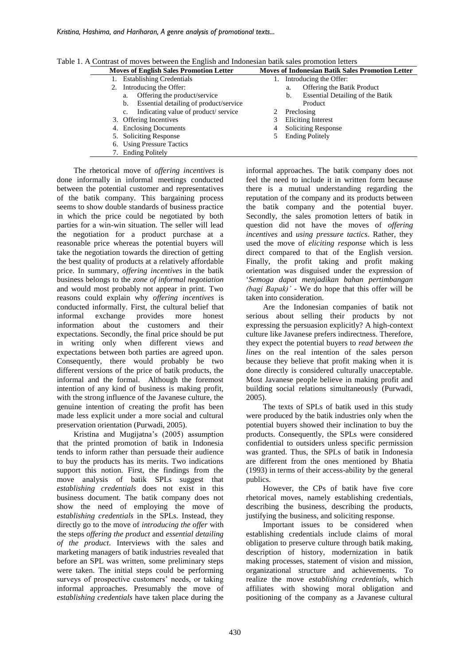| <b>Moves of English Sales Promotion Letter</b> |                                              | <b>Moves of Indonesian Batik Sales Promotion Letter</b> |    |                                  |
|------------------------------------------------|----------------------------------------------|---------------------------------------------------------|----|----------------------------------|
|                                                | <b>Establishing Credentials</b>              | 1.                                                      |    | Introducing the Offer:           |
|                                                | 2. Introducing the Offer:                    |                                                         | a. | Offering the Batik Product       |
|                                                | Offering the product/service<br>a.           |                                                         | b. | Essential Detailing of the Batik |
|                                                | Essential detailing of product/service<br>b. |                                                         |    | Product                          |
|                                                | Indicating value of product/service<br>c.    |                                                         |    | Preclosing                       |
|                                                | 3. Offering Incentives                       | 3                                                       |    | Eliciting Interest               |
|                                                | 4. Enclosing Documents                       | 4                                                       |    | <b>Soliciting Response</b>       |
|                                                | 5. Soliciting Response                       | 5.                                                      |    | <b>Ending Politely</b>           |
|                                                | 6. Using Pressure Tactics                    |                                                         |    |                                  |
|                                                | 7. Ending Politely                           |                                                         |    |                                  |

Table 1. A Contrast of moves between the English and Indonesian batik sales promotion letters

The rhetorical move of *offering incentives* is done informally in informal meetings conducted between the potential customer and representatives of the batik company. This bargaining process seems to show double standards of business practice in which the price could be negotiated by both parties for a win-win situation. The seller will lead the negotiation for a product purchase at a reasonable price whereas the potential buyers will take the negotiation towards the direction of getting the best quality of products at a relatively affordable price. In summary, *offering incentives* in the batik business belongs to the *zone of informal negotiation* and would most probably not appear in print. Two reasons could explain why *offering incentives* is conducted informally. First, the cultural belief that<br>informal exchange provides more honest informal exchange provides more honest information about the customers and their expectations. Secondly, the final price should be put in writing only when different views and expectations between both parties are agreed upon. Consequently, there would probably be two different versions of the price of batik products, the informal and the formal. Although the foremost intention of any kind of business is making profit, with the strong influence of the Javanese culture, the genuine intention of creating the profit has been made less explicit under a more social and cultural preservation orientation (Purwadi, 2005).

Kristina and Mugijatna's (2005) assumption that the printed promotion of batik in Indonesia tends to inform rather than persuade their audience to buy the products has its merits. Two indications support this notion. First, the findings from the move analysis of batik SPLs suggest that *establishing credentials* does not exist in this business document. The batik company does not show the need of employing the move of *establishing credentials* in the SPLs. Instead, they directly go to the move of *introducing the offer* with the steps *offering the product* and *essential detailing of the product*. Interviews with the sales and marketing managers of batik industries revealed that before an SPL was written, some preliminary steps were taken. The initial steps could be performing surveys of prospective customers' needs, or taking informal approaches. Presumably the move of *establishing credentials* have taken place during the informal approaches. The batik company does not feel the need to include it in written form because there is a mutual understanding regarding the reputation of the company and its products between the batik company and the potential buyer. Secondly, the sales promotion letters of batik in question did not have the moves of *offering incentives* and *using pressure tactics*. Rather, they used the move of *eliciting response* which is less direct compared to that of the English version. Finally, the profit taking and profit making orientation was disguised under the expression of '*Semoga dapat menjadikan bahan pertimbangan (bagi Bapak)' -* We do hope that this offer will be taken into consideration.

Are the Indonesian companies of batik not serious about selling their products by not expressing the persuasion explicitly? A high-context culture like Javanese prefers indirectness. Therefore, they expect the potential buyers to *read between the lines* on the real intention of the sales person because they believe that profit making when it is done directly is considered culturally unacceptable. Most Javanese people believe in making profit and building social relations simultaneously (Purwadi, 2005).

The texts of SPLs of batik used in this study were produced by the batik industries only when the potential buyers showed their inclination to buy the products. Consequently, the SPLs were considered confidential to outsiders unless specific permission was granted. Thus, the SPLs of batik in Indonesia are different from the ones mentioned by Bhatia (1993) in terms of their access-ability by the general publics.

However, the CPs of batik have five core rhetorical moves, namely establishing credentials, describing the business, describing the products, justifying the business, and soliciting response.

Important issues to be considered when establishing credentials include claims of moral obligation to preserve culture through batik making, description of history, modernization in batik making processes, statement of vision and mission, organizational structure and achievements. To realize the move *establishing credentials*, which affiliates with showing moral obligation and positioning of the company as a Javanese cultural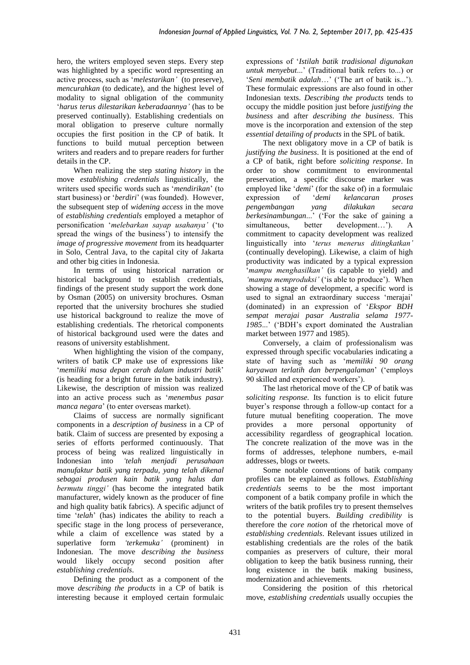hero, the writers employed seven steps. Every step was highlighted by a specific word representing an active process, such as '*melestarikan'* (to preserve)*, mencurahkan* (to dedicate)*,* and the highest level of modality to signal obligation of the community '*harus terus dilestarikan keberadaannya'* (has to be preserved continually). Establishing credentials on moral obligation to preserve culture normally occupies the first position in the CP of batik. It functions to build mutual perception between writers and readers and to prepare readers for further details in the CP.

When realizing the step *stating history* in the move *establishing credentials* linguistically, the writers used specific words such as '*mendirikan*' (to start business) or '*berdiri*' (was founded). However, the subsequent step of *widening access* in the move of *establishing credentials* employed a metaphor of personification '*melebarkan sayap usahanya'* ('to spread the wings of the business') to intensify the *image of progressive movement* from its headquarter in Solo, Central Java, to the capital city of Jakarta and other big cities in Indonesia.

In terms of using historical narration or historical background to establish credentials, findings of the present study support the work done by Osman (2005) on university brochures. Osman reported that the university brochures she studied use historical background to realize the move of establishing credentials. The rhetorical components of historical background used were the dates and reasons of university establishment.

When highlighting the vision of the company, writers of batik CP make use of expressions like '*memiliki masa depan cerah dalam industri batik*' (is heading for a bright future in the batik industry). Likewise, the description of mission was realized into an active process such as '*menembus pasar manca negara*' (to enter overseas market).

Claims of success are normally significant components in a *description of business* in a CP of batik. Claim of success are presented by exposing a series of efforts performed continuously. That process of being was realized linguistically in Indonesian into *'telah menjadi perusahaan manufaktur batik yang terpadu, yang telah dikenal sebagai produsen kain batik yang halus dan bermutu tinggi'* (has become the integrated batik manufacturer, widely known as the producer of fine and high quality batik fabrics). A specific adjunct of time '*telah*' (has) indicates the ability to reach a specific stage in the long process of perseverance, while a claim of excellence was stated by a superlative form *'terkemuka'* (prominent) in Indonesian. The move *describing the business* would likely occupy second position after *establishing credentials*.

Defining the product as a component of the move *describing the products* in a CP of batik is interesting because it employed certain formulaic expressions of '*Istilah batik tradisional digunakan untuk menyebut*...' (Traditional batik refers to...) or '*Seni membatik adalah*…' ('The art of batik is...'). These formulaic expressions are also found in other Indonesian texts. *Describing the products* tends to occupy the middle position just before *justifying the business* and after *describing the business*. This move is the incorporation and extension of the step *essential detailing of products* in the SPL of batik.

The next obligatory move in a CP of batik is *justifying the business*. It is positioned at the end of a CP of batik, right before *soliciting response*. In order to show commitment to environmental preservation, a specific discourse marker was employed like '*demi*' (for the sake of) in a formulaic expression of '*demi kelancaran proses pengembangan yang dilakukan secara berkesinambungan*...' ('For the sake of gaining a simultaneous, better development...'). A commitment to capacity development was realized linguistically into '*terus menerus ditingkatkan'* (continually developing). Likewise, a claim of high productivity was indicated by a typical expression '*mampu menghasilkan'* (is capable to yield) and *'mampu memproduksi'* ('is able to produce'). When showing a stage of development, a specific word is used to signal an extraordinary success 'merajai' (dominated) in an expression of '*Ekspor BDH sempat merajai pasar Australia selama 1977- 1985*...' ('BDH's export dominated the Australian market between 1977 and 1985).

Conversely, a claim of professionalism was expressed through specific vocabularies indicating a state of having such as '*memiliki 90 orang karyawan terlatih dan berpengalaman*' ('employs 90 skilled and experienced workers').

The last rhetorical move of the CP of batik was *soliciting response.* Its function is to elicit future buyer's response through a follow-up contact for a future mutual benefiting cooperation. The move provides a more personal opportunity of accessibility regardless of geographical location. The concrete realization of the move was in the forms of addresses, telephone numbers, e-mail addresses, blogs or tweets.

Some notable conventions of batik company profiles can be explained as follows. *Establishing credentials* seems to be the most important component of a batik company profile in which the writers of the batik profiles try to present themselves to the potential buyers. *Building credibility* is therefore the *core notion* of the rhetorical move of *establishing credentials*. Relevant issues utilized in establishing credentials are the roles of the batik companies as preservers of culture, their moral obligation to keep the batik business running, their long existence in the batik making business, modernization and achievements.

Considering the position of this rhetorical move, *establishing credentials* usually occupies the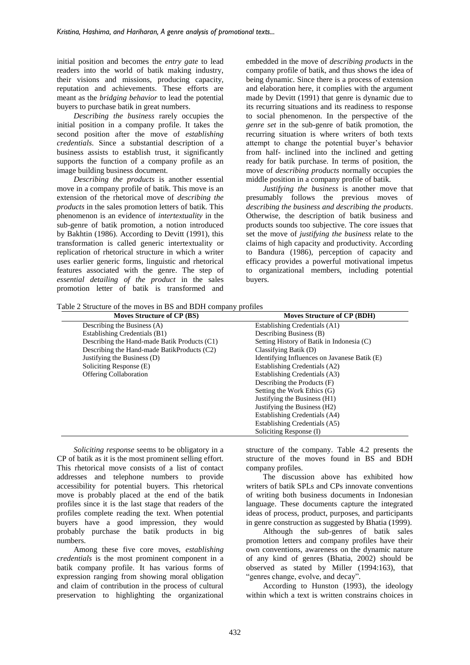initial position and becomes the *entry gate* to lead readers into the world of batik making industry, their visions and missions, producing capacity, reputation and achievements. These efforts are meant as the *bridging behavior* to lead the potential buyers to purchase batik in great numbers.

*Describing the business* rarely occupies the initial position in a company profile. It takes the second position after the move of *establishing credentials*. Since a substantial description of a business assists to establish trust, it significantly supports the function of a company profile as an image building business document.

*Describing the products* is another essential move in a company profile of batik. This move is an extension of the rhetorical move of *describing the products* in the sales promotion letters of batik. This phenomenon is an evidence of *intertextuality* in the sub-genre of batik promotion, a notion introduced by Bakhtin (1986). According to Devitt (1991), this transformation is called generic intertextuality or replication of rhetorical structure in which a writer uses earlier generic forms, linguistic and rhetorical features associated with the genre. The step of *essential detailing of the product* in the sales promotion letter of batik is transformed and embedded in the move of *describing products* in the company profile of batik, and thus shows the idea of being dynamic. Since there is a process of extension and elaboration here, it complies with the argument made by Devitt (1991) that genre is dynamic due to its recurring situations and its readiness to response to social phenomenon. In the perspective of the *genre set* in the sub-genre of batik promotion, the recurring situation is where writers of both texts attempt to change the potential buyer's behavior from half- inclined into the inclined and getting ready for batik purchase. In terms of position, the move of *describing products* normally occupies the middle position in a company profile of batik.

*Justifying the business* is another move that presumably follows the previous moves of *describing the business and describing the products*. Otherwise, the description of batik business and products sounds too subjective. The core issues that set the move of *justifying the business* relate to the claims of high capacity and productivity. According to Bandura (1986), perception of capacity and efficacy provides a powerful motivational impetus to organizational members, including potential buyers.

Table 2 Structure of the moves in BS and BDH company profiles

| Moves Structure of CP (BS)                   | Moves Structure of CP (BDH)                  |  |  |
|----------------------------------------------|----------------------------------------------|--|--|
| Describing the Business (A)                  | Establishing Credentials (A1)                |  |  |
| Establishing Credentials (B1)                | Describing Business (B)                      |  |  |
| Describing the Hand-made Batik Products (C1) | Setting History of Batik in Indonesia (C)    |  |  |
| Describing the Hand-made BatikProducts (C2)  | Classifying Batik (D)                        |  |  |
| Justifying the Business (D)                  | Identifying Influences on Javanese Batik (E) |  |  |
| Soliciting Response (E)                      | Establishing Credentials (A2)                |  |  |
| <b>Offering Collaboration</b>                | Establishing Credentials (A3)                |  |  |
|                                              | Describing the Products (F)                  |  |  |
|                                              | Setting the Work Ethics (G)                  |  |  |
|                                              | Justifying the Business (H1)                 |  |  |
|                                              | Justifying the Business (H2)                 |  |  |
|                                              | Establishing Credentials (A4)                |  |  |
|                                              | Establishing Credentials (A5)                |  |  |
|                                              | Soliciting Response (I)                      |  |  |

*Soliciting response* seems to be obligatory in a CP of batik as it is the most prominent selling effort. This rhetorical move consists of a list of contact addresses and telephone numbers to provide accessibility for potential buyers. This rhetorical move is probably placed at the end of the batik profiles since it is the last stage that readers of the profiles complete reading the text. When potential buyers have a good impression, they would probably purchase the batik products in big numbers.

Among these five core moves, *establishing credentials* is the most prominent component in a batik company profile. It has various forms of expression ranging from showing moral obligation and claim of contribution in the process of cultural preservation to highlighting the organizational structure of the company. Table 4.2 presents the structure of the moves found in BS and BDH company profiles.

The discussion above has exhibited how writers of batik SPLs and CPs innovate conventions of writing both business documents in Indonesian language. These documents capture the integrated ideas of process, product, purposes, and participants in genre construction as suggested by Bhatia (1999).

Although the sub-genres of batik sales promotion letters and company profiles have their own conventions, awareness on the dynamic nature of any kind of genres (Bhatia, 2002) should be observed as stated by Miller (1994:163), that "genres change, evolve, and decay".

According to Hunston (1993), the ideology within which a text is written constrains choices in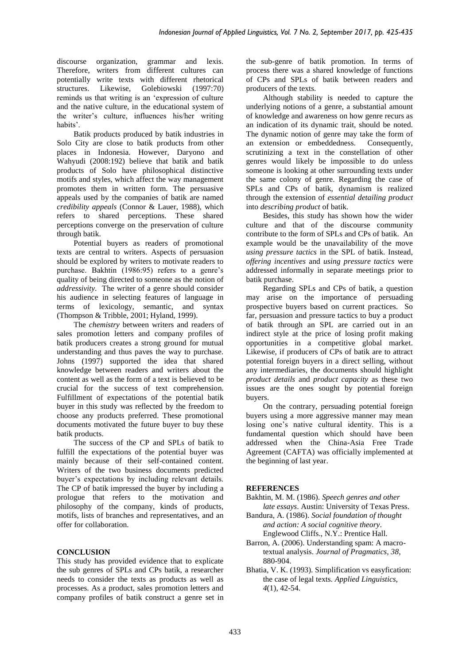discourse organization, grammar and lexis. Therefore, writers from different cultures can potentially write texts with different rhetorical structures. Likewise, Golebiowski (1997:70) reminds us that writing is an 'expression of culture and the native culture, in the educational system of the writer's culture, influences his/her writing habits'.

Batik products produced by batik industries in Solo City are close to batik products from other places in Indonesia. However, Daryono and Wahyudi (2008:192) believe that batik and batik products of Solo have philosophical distinctive motifs and styles, which affect the way management promotes them in written form. The persuasive appeals used by the companies of batik are named *credibility appeals* (Connor & Lauer, 1988), which refers to shared perceptions. These shared perceptions converge on the preservation of culture through batik.

Potential buyers as readers of promotional texts are central to writers. Aspects of persuasion should be explored by writers to motivate readers to purchase. Bakhtin (1986:95) refers to a genre's quality of being directed to someone as the notion of *addressivity*. The writer of a genre should consider his audience in selecting features of language in terms of lexicology, semantic, and syntax (Thompson & Tribble, 2001; Hyland, 1999).

The *chemistry* between writers and readers of sales promotion letters and company profiles of batik producers creates a strong ground for mutual understanding and thus paves the way to purchase. Johns (1997) supported the idea that shared knowledge between readers and writers about the content as well as the form of a text is believed to be crucial for the success of text comprehension. Fulfillment of expectations of the potential batik buyer in this study was reflected by the freedom to choose any products preferred. These promotional documents motivated the future buyer to buy these batik products.

The success of the CP and SPLs of batik to fulfill the expectations of the potential buyer was mainly because of their self-contained content. Writers of the two business documents predicted buyer's expectations by including relevant details. The CP of batik impressed the buyer by including a prologue that refers to the motivation and philosophy of the company, kinds of products, motifs, lists of branches and representatives, and an offer for collaboration.

# **CONCLUSION**

This study has provided evidence that to explicate the sub genres of SPLs and CPs batik, a researcher needs to consider the texts as products as well as processes. As a product, sales promotion letters and company profiles of batik construct a genre set in the sub-genre of batik promotion. In terms of process there was a shared knowledge of functions of CPs and SPLs of batik between readers and producers of the texts.

Although stability is needed to capture the underlying notions of a genre, a substantial amount of knowledge and awareness on how genre recurs as an indication of its dynamic trait, should be noted. The dynamic notion of genre may take the form of<br>an extension or embeddedness. Consequently, an extension or embeddedness. scrutinizing a text in the constellation of other genres would likely be impossible to do unless someone is looking at other surrounding texts under the same colony of genre. Regarding the case of SPLs and CPs of batik, dynamism is realized through the extension of *essential detailing product* into *describing product* of batik.

Besides, this study has shown how the wider culture and that of the discourse community contribute to the form of SPLs and CPs of batik. An example would be the unavailability of the move *using pressure tactics* in the SPL of batik. Instead, *offering incentives* and *using pressure tactics* were addressed informally in separate meetings prior to batik purchase.

Regarding SPLs and CPs of batik, a question may arise on the importance of persuading prospective buyers based on current practices. So far, persuasion and pressure tactics to buy a product of batik through an SPL are carried out in an indirect style at the price of losing profit making opportunities in a competitive global market. Likewise, if producers of CPs of batik are to attract potential foreign buyers in a direct selling, without any intermediaries, the documents should highlight *product details* and *product capacity* as these two issues are the ones sought by potential foreign buyers.

On the contrary, persuading potential foreign buyers using a more aggressive manner may mean losing one's native cultural identity. This is a fundamental question which should have been addressed when the China-Asia Free Trade Agreement (CAFTA) was officially implemented at the beginning of last year.

# **REFERENCES**

Bakhtin, M. M. (1986). *Speech genres and other late essays*. Austin: University of Texas Press.

- Bandura, A. (1986). *Social foundation of thought and action: A social cognitive theory*. Englewood Cliffs., N.Y.: Prentice Hall.
- Barron, A. (2006). Understanding spam: A macrotextual analysis. *Journal of Pragmatics, 38,* 880-904.
- Bhatia, V. K. (1993). Simplification vs easyfication: the case of legal texts. *Applied Linguistics, 4*(1)*,* 42-54*.*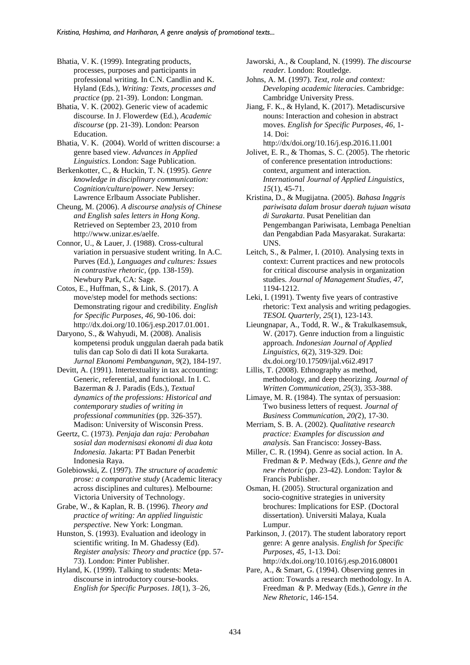Bhatia, V. K. (1999). Integrating products, processes, purposes and participants in professional writing. In C.N. Candlin and K. Hyland (Eds.), *Writing: Texts, processes and practice* (pp. 21-39). London: Longman.

Bhatia, V. K. (2002). Generic view of academic discourse. In J. Flowerdew (Ed.), *Academic discourse* (pp. 21-39). London: Pearson Education.

Bhatia, V. K. (2004). World of written discourse: a genre based view. *Advances in Applied Linguistics*. London: Sage Publication.

Berkenkotter, C., & Huckin, T. N. (1995). *Genre knowledge in disciplinary communication: Cognition/culture/power*. New Jersey: Lawrence Erlbaum Associate Publisher.

Cheung, M. (2006). *A discourse analysis of Chinese and English sales letters in Hong Kong*. Retrieved on September 23, 2010 from http://www.unizar.es/aelfe.

Connor, U., & Lauer, J. (1988). Cross-cultural variation in persuasive student writing. In A.C. Purves (Ed.), *Languages and cultures: Issues in contrastive rhetoric,* (pp. 138-159). Newbury Park, CA: Sage.

Cotos, E., Huffman, S., & Link, S. (2017). A move/step model for methods sections: Demonstrating rigour and credibility. *English for Specific Purposes*, *46*, 90-106. doi: [http://dx.doi.org/10.106/j.esp.2017.01.001.](http://dx.doi.org/10.106/j.esp.2017.01.001)

Daryono, S., & Wahyudi, M. (2008). Analisis kompetensi produk unggulan daerah pada batik tulis dan cap Solo di dati II kota Surakarta. *Jurnal Ekonomi Pembangunan*, *9*(2), 184-197.

Devitt, A. (1991). Intertextuality in tax accounting: Generic, referential, and functional. In I. C. Bazerman & J. Paradis (Eds.), *Textual dynamics of the professions: Historical and contemporary studies of writing in professional communities* (pp. 326-357). Madison: University of Wisconsin Press.

Geertz, C. (1973). *Penjaja dan raja: Perobahan sosial dan modernisasi ekonomi di dua kota Indonesia.* Jakarta: PT Badan Penerbit Indonesia Raya.

Golebiowski, Z. (1997). *The structure of academic prose: a comparative study* (Academic literacy across disciplines and cultures)*.* Melbourne: Victoria University of Technology.

Grabe, W., & Kaplan, R. B. (1996). *Theory and practice of writing: An applied linguistic perspective.* New York: Longman.

Hunston, S. (1993). Evaluation and ideology in scientific writing. In M. Ghadessy (Ed). *Register analysis: Theory and practice* (pp. 57- 73). London: Pinter Publisher.

Hyland, K. (1999). Talking to students: Metadiscourse in introductory course-books. *English for Specific Purposes*. *18*(1), 3–26, Jaworski, A., & Coupland, N. (1999). *The discourse reader.* London: Routledge.

Johns, A. M. (1997). *Text, role and context: Developing academic literacies*. Cambridge: Cambridge University Press.

Jiang, F. K., & Hyland, K. (2017). Metadiscursive nouns: Interaction and cohesion in abstract moves. *English for Specific Purposes*, *46*, 1- 14. Doi:

<http://dx/doi.org/10.16/j.esp.2016.11.001> Jolivet, E. R., & Thomas, S. C. (2005). The rhetoric of conference presentation introductions: context, argument and interaction. *International Journal of Applied Linguistics*, *15*(1), 45-71.

Kristina, D., & Mugijatna. (2005). *Bahasa Inggris pariwisata dalam brosur daerah tujuan wisata di Surakarta*. Pusat Penelitian dan Pengembangan Pariwisata, Lembaga Peneltian dan Pengabdian Pada Masyarakat. Surakarta: UNS.

Leitch, S., & Palmer, I. (2010). Analysing texts in context: Current practices and new protocols for critical discourse analysis in organization studies. *Journal of Management Studies, 47*, 1194-1212.

Leki, I. (1991). Twenty five years of contrastive rhetoric: Text analysis and writing pedagogies. *TESOL Quarterly*, *25*(1), 123-143.

Lieungnapar, A., Todd, R. W., & Trakulkasemsuk, W. (2017). Genre induction from a linguistic approach. *Indonesian Journal of Applied Linguistics, 6*(2), 319-329. Doi: dx.doi.org/10.17509/ijal.v6i2.4917

Lillis, T. (2008). Ethnography as method, methodology, and deep theorizing. *Journal of Written Communication*, *25*(3), 353-388.

Limaye, M. R. (1984). The syntax of persuasion: Two business letters of request. *Journal of Business Communicatio*n, *20(*2), 17-30.

Merriam, S. B. A. (2002). *Qualitative research practice: Examples for discussion and analysis.* San Francisco: Jossey-Bass.

Miller, C. R. (1994). Genre as social action. In A. Fredman & P. Medway (Eds.), *Genre and the new rhetoric* (pp. 23-42). London: Taylor & Francis Publisher.

Osman, H. (2005). Structural organization and socio-cognitive strategies in university brochures: Implications for ESP. (Doctoral dissertation). Universiti Malaya, Kuala Lumpur.

Parkinson, J. (2017). The student laboratory report genre: A genre analysis. *English for Specific Purposes*, *45*, 1-13. Doi: <http://dx.doi.org/10.1016/j.esp.2016.08001>

Pare, A., & Smart, G. (1994). Observing genres in action: Towards a research methodology. In A. Freedman & P. Medway (Eds.), *Genre in the New Rhetoric*, 146-154.